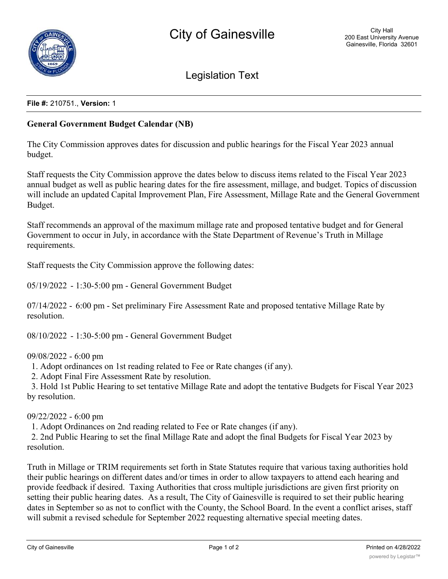

Legislation Text

## **File #:** 210751., **Version:** 1

## **General Government Budget Calendar (NB)**

The City Commission approves dates for discussion and public hearings for the Fiscal Year 2023 annual budget.

Staff requests the City Commission approve the dates below to discuss items related to the Fiscal Year 2023 annual budget as well as public hearing dates for the fire assessment, millage, and budget. Topics of discussion will include an updated Capital Improvement Plan, Fire Assessment, Millage Rate and the General Government Budget.

Staff recommends an approval of the maximum millage rate and proposed tentative budget and for General Government to occur in July, in accordance with the State Department of Revenue's Truth in Millage requirements.

Staff requests the City Commission approve the following dates:

05/19/2022 - 1:30-5:00 pm - General Government Budget

07/14/2022 - 6:00 pm - Set preliminary Fire Assessment Rate and proposed tentative Millage Rate by resolution.

08/10/2022 - 1:30-5:00 pm - General Government Budget

## 09/08/2022 - 6:00 pm

1. Adopt ordinances on 1st reading related to Fee or Rate changes (if any).

2. Adopt Final Fire Assessment Rate by resolution.

 3. Hold 1st Public Hearing to set tentative Millage Rate and adopt the tentative Budgets for Fiscal Year 2023 by resolution.

09/22/2022 - 6:00 pm

1. Adopt Ordinances on 2nd reading related to Fee or Rate changes (if any).

 2. 2nd Public Hearing to set the final Millage Rate and adopt the final Budgets for Fiscal Year 2023 by resolution.

Truth in Millage or TRIM requirements set forth in State Statutes require that various taxing authorities hold their public hearings on different dates and/or times in order to allow taxpayers to attend each hearing and provide feedback if desired. Taxing Authorities that cross multiple jurisdictions are given first priority on setting their public hearing dates. As a result, The City of Gainesville is required to set their public hearing dates in September so as not to conflict with the County, the School Board. In the event a conflict arises, staff will submit a revised schedule for September 2022 requesting alternative special meeting dates.